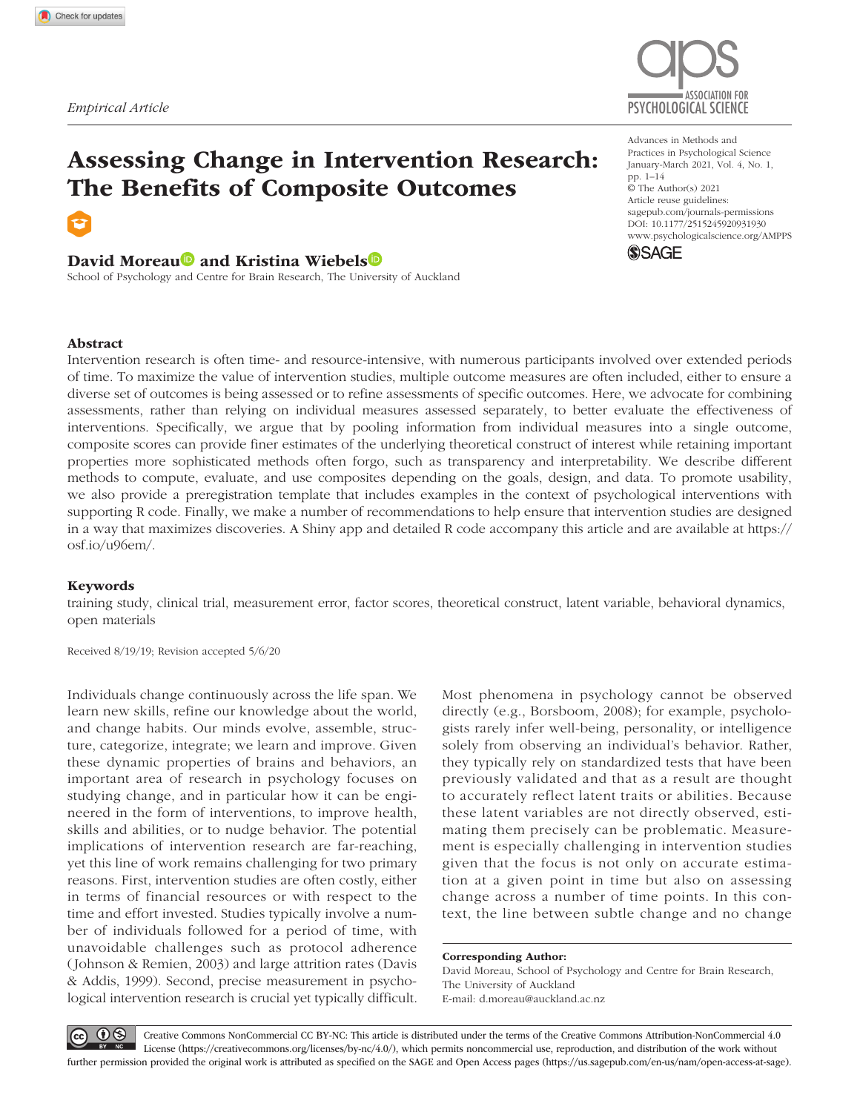

# Assessing Change in Intervention Research: The Benefits of Composite Outcomes

## David Moreau<sup>D</sup> and Kristina Wiebels<sup>D</sup>

School of Psychology and Centre for Brain Research, The University of Auckland

https://doi.org/10.1177/2515245920931930 DOI: 10.1177/2515245920931930 Advances in Methods and Practices in Psychological Science January-March 2021, Vol. 4, No. 1, pp. 1–14 © The Author(s) 2021 Article reuse guidelines: [sagepub.com/journals-permissions](https://us.sagepub.com/en-us/journals-permissions) [www.psychologicalscience.org/AMPPS](https://www.psychologicalscience.org/AMPPS)



#### Abstract

Intervention research is often time- and resource-intensive, with numerous participants involved over extended periods of time. To maximize the value of intervention studies, multiple outcome measures are often included, either to ensure a diverse set of outcomes is being assessed or to refine assessments of specific outcomes. Here, we advocate for combining assessments, rather than relying on individual measures assessed separately, to better evaluate the effectiveness of interventions. Specifically, we argue that by pooling information from individual measures into a single outcome, composite scores can provide finer estimates of the underlying theoretical construct of interest while retaining important properties more sophisticated methods often forgo, such as transparency and interpretability. We describe different methods to compute, evaluate, and use composites depending on the goals, design, and data. To promote usability, we also provide a preregistration template that includes examples in the context of psychological interventions with supporting R code. Finally, we make a number of recommendations to help ensure that intervention studies are designed in a way that maximizes discoveries. A Shiny app and detailed R code accompany this article and are available at [https://](https://osf.io/u96em/) [osf.io/u96em/](https://osf.io/u96em/).

#### Keywords

training study, clinical trial, measurement error, factor scores, theoretical construct, latent variable, behavioral dynamics, open materials

Received 8/19/19; Revision accepted 5/6/20

Individuals change continuously across the life span. We learn new skills, refine our knowledge about the world, and change habits. Our minds evolve, assemble, structure, categorize, integrate; we learn and improve. Given these dynamic properties of brains and behaviors, an important area of research in psychology focuses on studying change, and in particular how it can be engineered in the form of interventions, to improve health, skills and abilities, or to nudge behavior. The potential implications of intervention research are far-reaching, yet this line of work remains challenging for two primary reasons. First, intervention studies are often costly, either in terms of financial resources or with respect to the time and effort invested. Studies typically involve a number of individuals followed for a period of time, with unavoidable challenges such as protocol adherence (Johnson & Remien, 2003) and large attrition rates (Davis & Addis, 1999). Second, precise measurement in psychological intervention research is crucial yet typically difficult.

Most phenomena in psychology cannot be observed directly (e.g., Borsboom, 2008); for example, psychologists rarely infer well-being, personality, or intelligence solely from observing an individual's behavior. Rather, they typically rely on standardized tests that have been previously validated and that as a result are thought to accurately reflect latent traits or abilities. Because these latent variables are not directly observed, estimating them precisely can be problematic. Measurement is especially challenging in intervention studies given that the focus is not only on accurate estimation at a given point in time but also on assessing change across a number of time points. In this context, the line between subtle change and no change

#### Corresponding Author:

David Moreau, School of Psychology and Centre for Brain Research, The University of Auckland E-mail: [d.moreau@auckland.ac.nz](mailto:d.moreau@auckland.ac.nz)

 $\odot$ 

Creative Commons NonCommercial CC BY-NC: This article is distributed under the terms of the Creative Commons Attribution-NonCommercial 4.0 License (https://creativecommons.org/licenses/by-nc/4.0/), which permits noncommercial use, reproduction, and distribution of the work without further permission provided the original work is attributed as specified on the SAGE and Open Access pages (https://us.sagepub.com/en-us/nam/open-access-at-sage).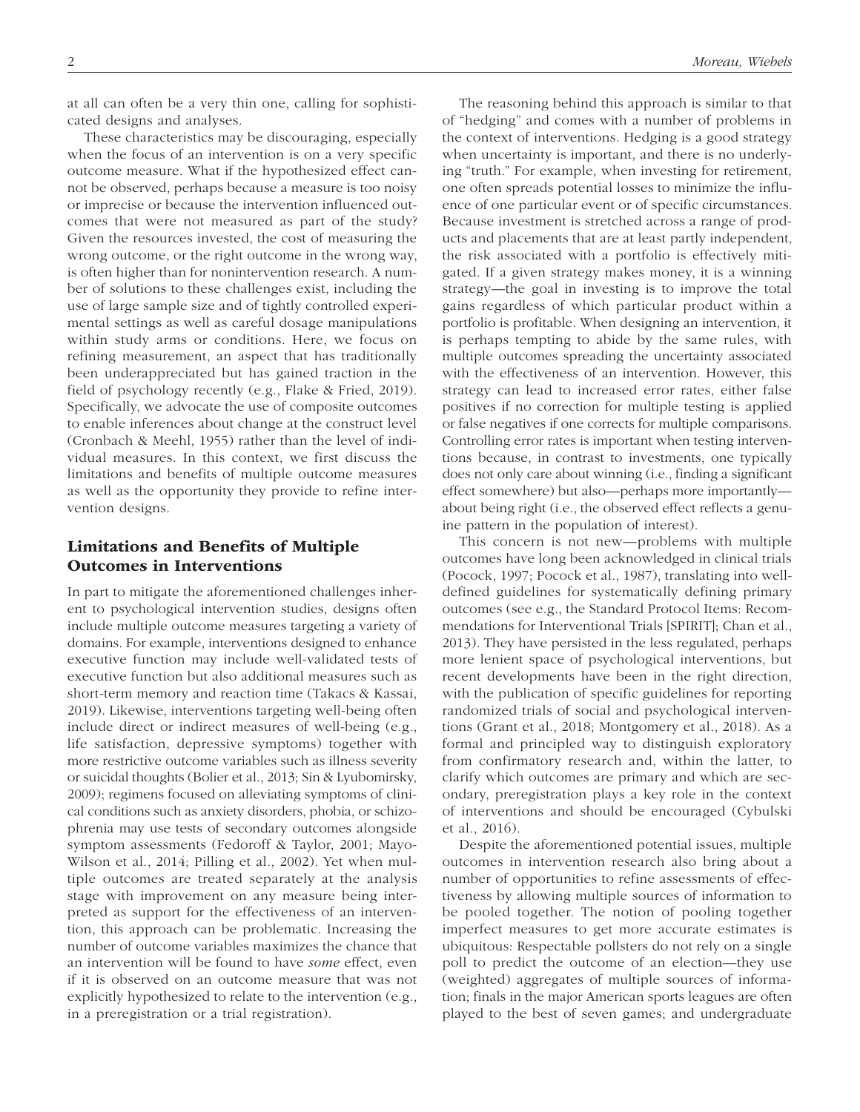at all can often be a very thin one, calling for sophisticated designs and analyses.

These characteristics may be discouraging, especially when the focus of an intervention is on a very specific outcome measure. What if the hypothesized effect cannot be observed, perhaps because a measure is too noisy or imprecise or because the intervention influenced outcomes that were not measured as part of the study? Given the resources invested, the cost of measuring the wrong outcome, or the right outcome in the wrong way, is often higher than for nonintervention research. A number of solutions to these challenges exist, including the use of large sample size and of tightly controlled experimental settings as well as careful dosage manipulations within study arms or conditions. Here, we focus on refining measurement, an aspect that has traditionally been underappreciated but has gained traction in the field of psychology recently (e.g., Flake & Fried, 2019). Specifically, we advocate the use of composite outcomes to enable inferences about change at the construct level (Cronbach & Meehl, 1955) rather than the level of individual measures. In this context, we first discuss the limitations and benefits of multiple outcome measures as well as the opportunity they provide to refine intervention designs.

## Limitations and Benefits of Multiple Outcomes in Interventions

In part to mitigate the aforementioned challenges inherent to psychological intervention studies, designs often include multiple outcome measures targeting a variety of domains. For example, interventions designed to enhance executive function may include well-validated tests of executive function but also additional measures such as short-term memory and reaction time (Takacs & Kassai, 2019). Likewise, interventions targeting well-being often include direct or indirect measures of well-being (e.g., life satisfaction, depressive symptoms) together with more restrictive outcome variables such as illness severity or suicidal thoughts (Bolier et al., 2013; Sin & Lyubomirsky, 2009); regimens focused on alleviating symptoms of clinical conditions such as anxiety disorders, phobia, or schizophrenia may use tests of secondary outcomes alongside symptom assessments (Fedoroff & Taylor, 2001; Mayo-Wilson et al., 2014; Pilling et al., 2002). Yet when multiple outcomes are treated separately at the analysis stage with improvement on any measure being interpreted as support for the effectiveness of an intervention, this approach can be problematic. Increasing the number of outcome variables maximizes the chance that an intervention will be found to have *some* effect, even if it is observed on an outcome measure that was not explicitly hypothesized to relate to the intervention (e.g., in a preregistration or a trial registration).

The reasoning behind this approach is similar to that of "hedging" and comes with a number of problems in the context of interventions. Hedging is a good strategy when uncertainty is important, and there is no underlying "truth." For example, when investing for retirement, one often spreads potential losses to minimize the influence of one particular event or of specific circumstances. Because investment is stretched across a range of products and placements that are at least partly independent, the risk associated with a portfolio is effectively mitigated. If a given strategy makes money, it is a winning strategy—the goal in investing is to improve the total gains regardless of which particular product within a portfolio is profitable. When designing an intervention, it is perhaps tempting to abide by the same rules, with multiple outcomes spreading the uncertainty associated with the effectiveness of an intervention. However, this strategy can lead to increased error rates, either false positives if no correction for multiple testing is applied or false negatives if one corrects for multiple comparisons. Controlling error rates is important when testing interventions because, in contrast to investments, one typically does not only care about winning (i.e., finding a significant effect somewhere) but also—perhaps more importantly about being right (i.e., the observed effect reflects a genuine pattern in the population of interest).

This concern is not new—problems with multiple outcomes have long been acknowledged in clinical trials (Pocock, 1997; Pocock et al., 1987), translating into welldefined guidelines for systematically defining primary outcomes (see e.g., the Standard Protocol Items: Recommendations for Interventional Trials [SPIRIT]; Chan et al., 2013). They have persisted in the less regulated, perhaps more lenient space of psychological interventions, but recent developments have been in the right direction, with the publication of specific guidelines for reporting randomized trials of social and psychological interventions (Grant et al., 2018; Montgomery et al., 2018). As a formal and principled way to distinguish exploratory from confirmatory research and, within the latter, to clarify which outcomes are primary and which are secondary, preregistration plays a key role in the context of interventions and should be encouraged (Cybulski et al., 2016).

Despite the aforementioned potential issues, multiple outcomes in intervention research also bring about a number of opportunities to refine assessments of effectiveness by allowing multiple sources of information to be pooled together. The notion of pooling together imperfect measures to get more accurate estimates is ubiquitous: Respectable pollsters do not rely on a single poll to predict the outcome of an election—they use (weighted) aggregates of multiple sources of information; finals in the major American sports leagues are often played to the best of seven games; and undergraduate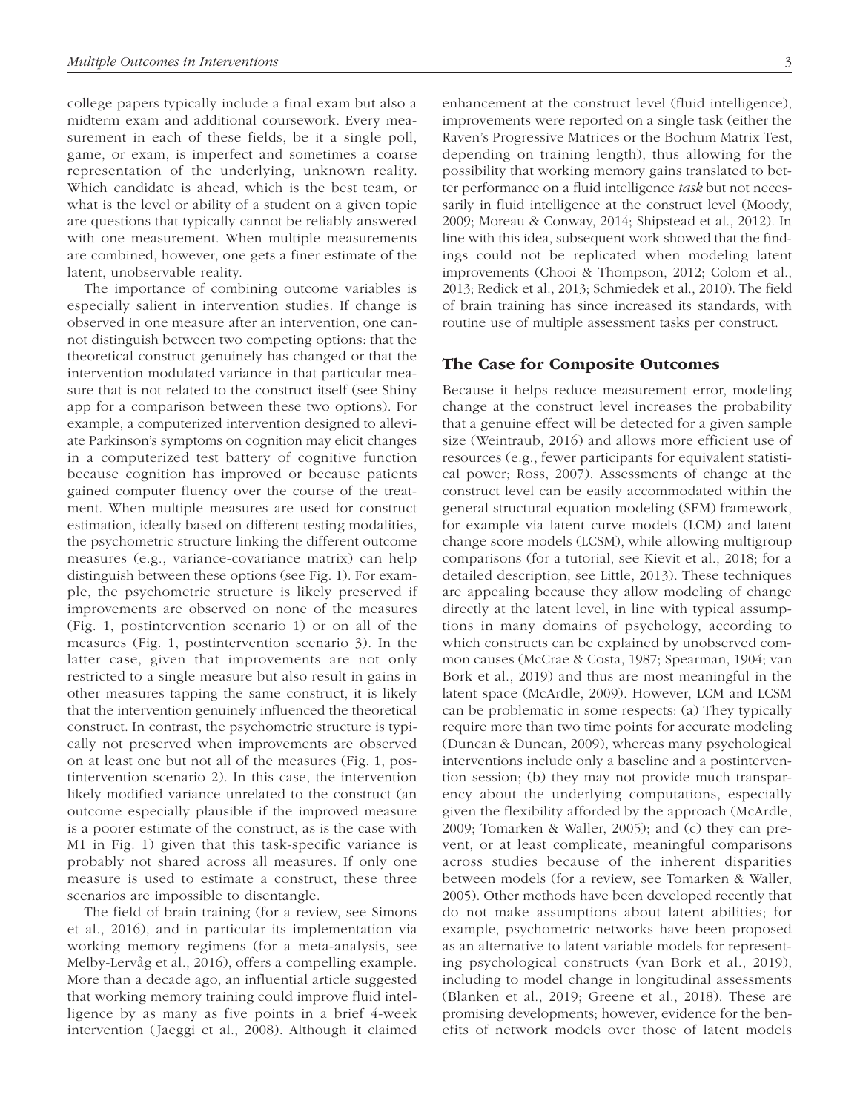college papers typically include a final exam but also a midterm exam and additional coursework. Every measurement in each of these fields, be it a single poll, game, or exam, is imperfect and sometimes a coarse representation of the underlying, unknown reality. Which candidate is ahead, which is the best team, or what is the level or ability of a student on a given topic are questions that typically cannot be reliably answered with one measurement. When multiple measurements are combined, however, one gets a finer estimate of the latent, unobservable reality.

The importance of combining outcome variables is especially salient in intervention studies. If change is observed in one measure after an intervention, one cannot distinguish between two competing options: that the theoretical construct genuinely has changed or that the intervention modulated variance in that particular measure that is not related to the construct itself (see Shiny app for a comparison between these two options). For example, a computerized intervention designed to alleviate Parkinson's symptoms on cognition may elicit changes in a computerized test battery of cognitive function because cognition has improved or because patients gained computer fluency over the course of the treatment. When multiple measures are used for construct estimation, ideally based on different testing modalities, the psychometric structure linking the different outcome measures (e.g., variance-covariance matrix) can help distinguish between these options (see Fig. 1). For example, the psychometric structure is likely preserved if improvements are observed on none of the measures (Fig. 1, postintervention scenario 1) or on all of the measures (Fig. 1, postintervention scenario 3). In the latter case, given that improvements are not only restricted to a single measure but also result in gains in other measures tapping the same construct, it is likely that the intervention genuinely influenced the theoretical construct. In contrast, the psychometric structure is typically not preserved when improvements are observed on at least one but not all of the measures (Fig. 1, postintervention scenario 2). In this case, the intervention likely modified variance unrelated to the construct (an outcome especially plausible if the improved measure is a poorer estimate of the construct, as is the case with M1 in Fig. 1) given that this task-specific variance is probably not shared across all measures. If only one measure is used to estimate a construct, these three scenarios are impossible to disentangle.

The field of brain training (for a review, see Simons et al., 2016), and in particular its implementation via working memory regimens (for a meta-analysis, see Melby-Lervåg et al., 2016), offers a compelling example. More than a decade ago, an influential article suggested that working memory training could improve fluid intelligence by as many as five points in a brief 4-week intervention (Jaeggi et al., 2008). Although it claimed enhancement at the construct level (fluid intelligence), improvements were reported on a single task (either the Raven's Progressive Matrices or the Bochum Matrix Test, depending on training length), thus allowing for the possibility that working memory gains translated to better performance on a fluid intelligence *task* but not necessarily in fluid intelligence at the construct level (Moody, 2009; Moreau & Conway, 2014; Shipstead et al., 2012). In line with this idea, subsequent work showed that the findings could not be replicated when modeling latent improvements (Chooi & Thompson, 2012; Colom et al., 2013; Redick et al., 2013; Schmiedek et al., 2010). The field of brain training has since increased its standards, with routine use of multiple assessment tasks per construct.

#### The Case for Composite Outcomes

Because it helps reduce measurement error, modeling change at the construct level increases the probability that a genuine effect will be detected for a given sample size (Weintraub, 2016) and allows more efficient use of resources (e.g., fewer participants for equivalent statistical power; Ross, 2007). Assessments of change at the construct level can be easily accommodated within the general structural equation modeling (SEM) framework, for example via latent curve models (LCM) and latent change score models (LCSM), while allowing multigroup comparisons (for a tutorial, see Kievit et al., 2018; for a detailed description, see Little, 2013). These techniques are appealing because they allow modeling of change directly at the latent level, in line with typical assumptions in many domains of psychology, according to which constructs can be explained by unobserved common causes (McCrae & Costa, 1987; Spearman, 1904; van Bork et al., 2019) and thus are most meaningful in the latent space (McArdle, 2009). However, LCM and LCSM can be problematic in some respects: (a) They typically require more than two time points for accurate modeling (Duncan & Duncan, 2009), whereas many psychological interventions include only a baseline and a postintervention session; (b) they may not provide much transparency about the underlying computations, especially given the flexibility afforded by the approach (McArdle, 2009; Tomarken & Waller, 2005); and (c) they can prevent, or at least complicate, meaningful comparisons across studies because of the inherent disparities between models (for a review, see Tomarken & Waller, 2005). Other methods have been developed recently that do not make assumptions about latent abilities; for example, psychometric networks have been proposed as an alternative to latent variable models for representing psychological constructs (van Bork et al., 2019), including to model change in longitudinal assessments (Blanken et al., 2019; Greene et al., 2018). These are promising developments; however, evidence for the benefits of network models over those of latent models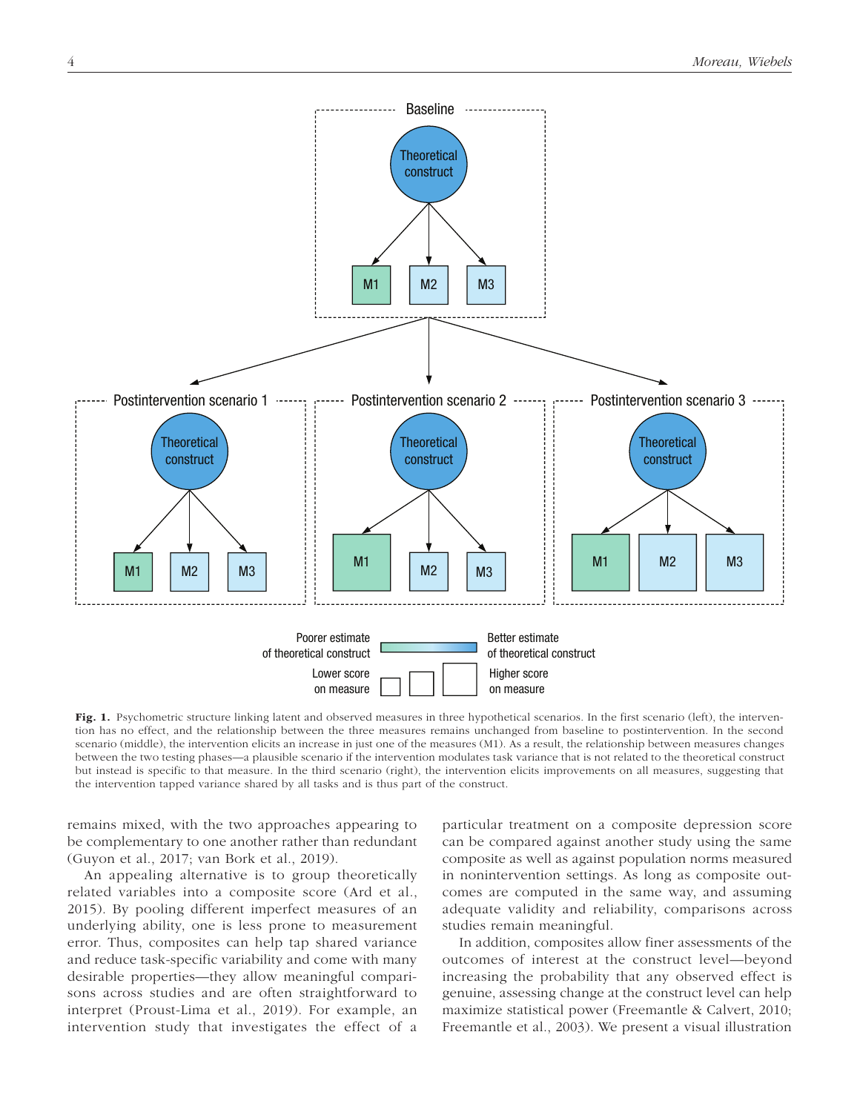

Fig. 1. Psychometric structure linking latent and observed measures in three hypothetical scenarios. In the first scenario (left), the intervention has no effect, and the relationship between the three measures remains unchanged from baseline to postintervention. In the second scenario (middle), the intervention elicits an increase in just one of the measures (M1). As a result, the relationship between measures changes between the two testing phases—a plausible scenario if the intervention modulates task variance that is not related to the theoretical construct but instead is specific to that measure. In the third scenario (right), the intervention elicits improvements on all measures, suggesting that the intervention tapped variance shared by all tasks and is thus part of the construct.

remains mixed, with the two approaches appearing to be complementary to one another rather than redundant (Guyon et al., 2017; van Bork et al., 2019).

An appealing alternative is to group theoretically related variables into a composite score (Ard et al., 2015). By pooling different imperfect measures of an underlying ability, one is less prone to measurement error. Thus, composites can help tap shared variance and reduce task-specific variability and come with many desirable properties—they allow meaningful comparisons across studies and are often straightforward to interpret (Proust-Lima et al., 2019). For example, an intervention study that investigates the effect of a particular treatment on a composite depression score can be compared against another study using the same composite as well as against population norms measured in nonintervention settings. As long as composite outcomes are computed in the same way, and assuming adequate validity and reliability, comparisons across studies remain meaningful.

In addition, composites allow finer assessments of the outcomes of interest at the construct level—beyond increasing the probability that any observed effect is genuine, assessing change at the construct level can help maximize statistical power (Freemantle & Calvert, 2010; Freemantle et al., 2003). We present a visual illustration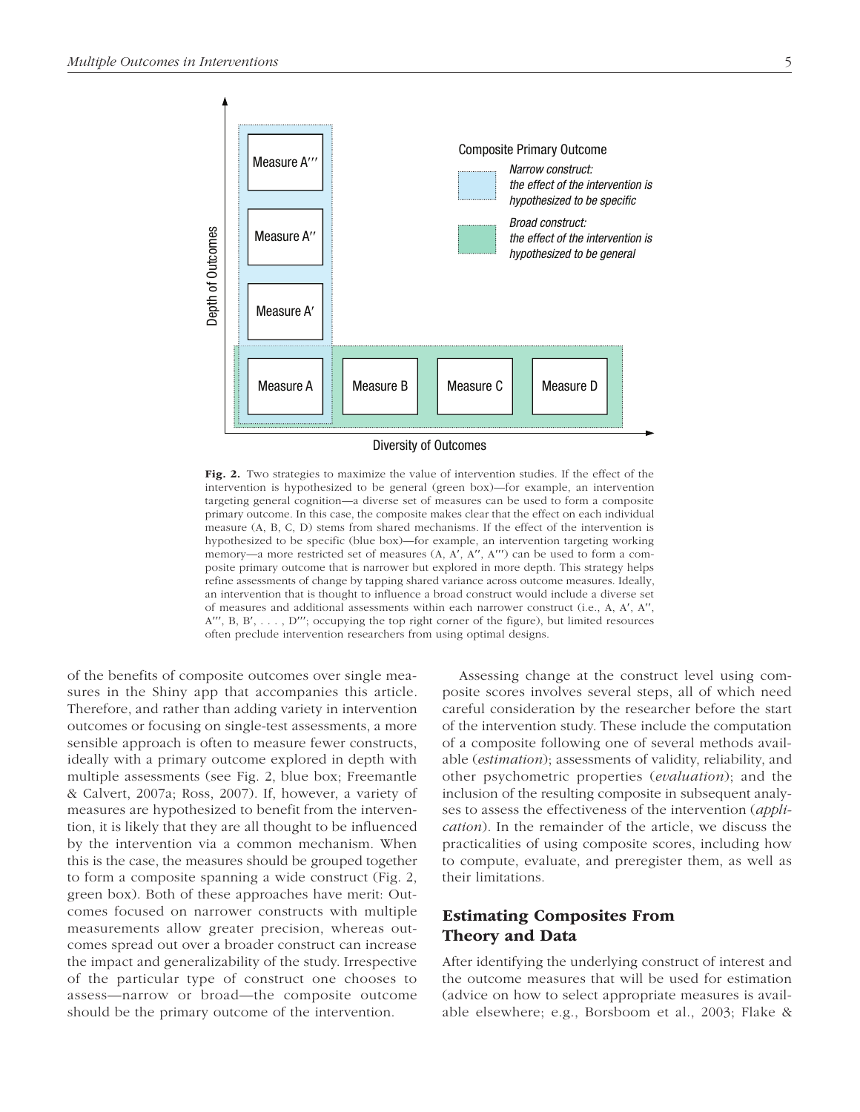

Fig. 2. Two strategies to maximize the value of intervention studies. If the effect of the intervention is hypothesized to be general (green box)—for example, an intervention targeting general cognition—a diverse set of measures can be used to form a composite primary outcome. In this case, the composite makes clear that the effect on each individual measure (A, B, C, D) stems from shared mechanisms. If the effect of the intervention is hypothesized to be specific (blue box)—for example, an intervention targeting working memory—a more restricted set of measures (A, A′, A′′, A′′′) can be used to form a composite primary outcome that is narrower but explored in more depth. This strategy helps refine assessments of change by tapping shared variance across outcome measures. Ideally, an intervention that is thought to influence a broad construct would include a diverse set of measures and additional assessments within each narrower construct (i.e., A, A′, A′′,  $A''$ , B, B',  $\dots$ , D'''; occupying the top right corner of the figure), but limited resources often preclude intervention researchers from using optimal designs.

of the benefits of composite outcomes over single measures in the Shiny app that accompanies this article. Therefore, and rather than adding variety in intervention outcomes or focusing on single-test assessments, a more sensible approach is often to measure fewer constructs, ideally with a primary outcome explored in depth with multiple assessments (see Fig. 2, blue box; Freemantle & Calvert, 2007a; Ross, 2007). If, however, a variety of measures are hypothesized to benefit from the intervention, it is likely that they are all thought to be influenced by the intervention via a common mechanism. When this is the case, the measures should be grouped together to form a composite spanning a wide construct (Fig. 2, green box). Both of these approaches have merit: Outcomes focused on narrower constructs with multiple measurements allow greater precision, whereas outcomes spread out over a broader construct can increase the impact and generalizability of the study. Irrespective of the particular type of construct one chooses to assess—narrow or broad—the composite outcome should be the primary outcome of the intervention.

Assessing change at the construct level using composite scores involves several steps, all of which need careful consideration by the researcher before the start of the intervention study. These include the computation of a composite following one of several methods available (*estimation*); assessments of validity, reliability, and other psychometric properties (*evaluation*); and the inclusion of the resulting composite in subsequent analyses to assess the effectiveness of the intervention (*application*). In the remainder of the article, we discuss the practicalities of using composite scores, including how to compute, evaluate, and preregister them, as well as their limitations.

## Estimating Composites From Theory and Data

After identifying the underlying construct of interest and the outcome measures that will be used for estimation (advice on how to select appropriate measures is available elsewhere; e.g., Borsboom et al., 2003; Flake &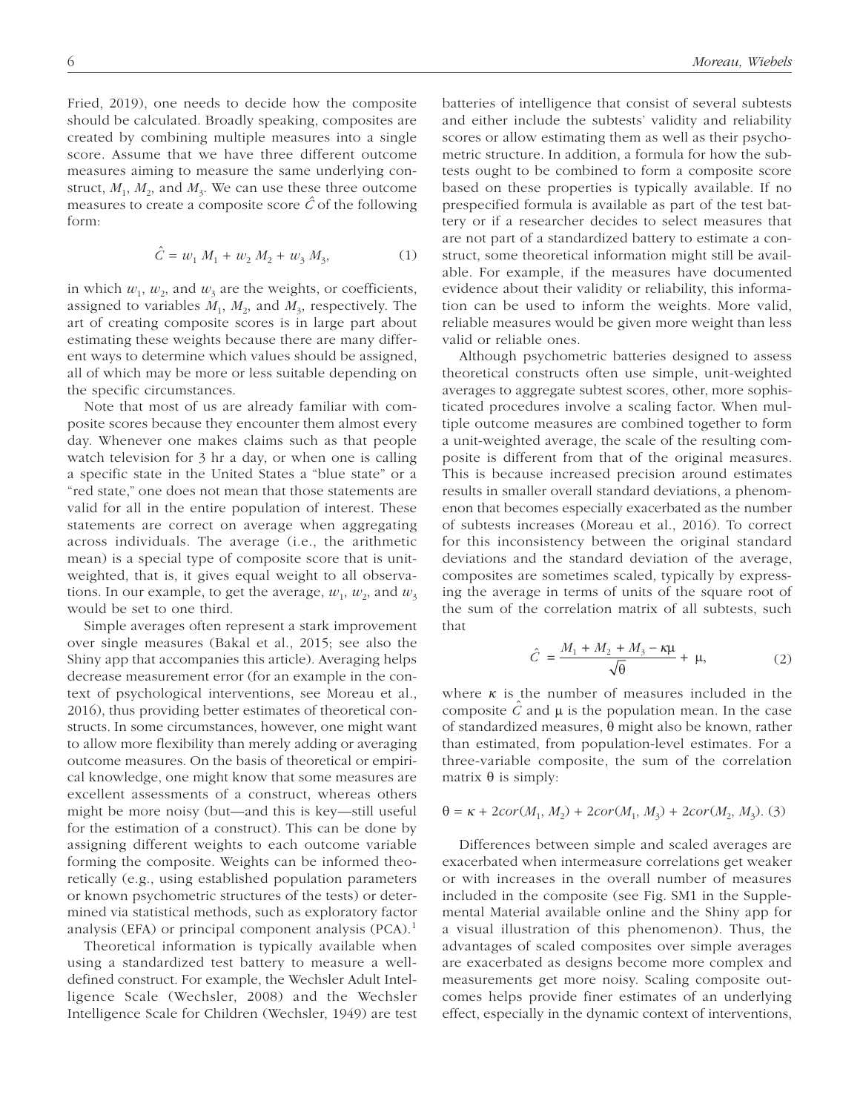Fried, 2019), one needs to decide how the composite should be calculated. Broadly speaking, composites are created by combining multiple measures into a single score. Assume that we have three different outcome measures aiming to measure the same underlying construct,  $M_1$ ,  $M_2$ , and  $M_3$ . We can use these three outcome measures to create a composite score *Cˆ* of the following form:

$$
\hat{C} = w_1 M_1 + w_2 M_2 + w_3 M_3, \tag{1}
$$

in which  $w_1$ ,  $w_2$ , and  $w_3$  are the weights, or coefficients, assigned to variables  $M_1$ ,  $M_2$ , and  $M_3$ , respectively. The art of creating composite scores is in large part about estimating these weights because there are many different ways to determine which values should be assigned, all of which may be more or less suitable depending on the specific circumstances.

Note that most of us are already familiar with composite scores because they encounter them almost every day. Whenever one makes claims such as that people watch television for 3 hr a day, or when one is calling a specific state in the United States a "blue state" or a "red state," one does not mean that those statements are valid for all in the entire population of interest. These statements are correct on average when aggregating across individuals. The average (i.e., the arithmetic mean) is a special type of composite score that is unitweighted, that is, it gives equal weight to all observations. In our example, to get the average,  $w_1$ ,  $w_2$ , and  $w_3$ would be set to one third.

Simple averages often represent a stark improvement over single measures (Bakal et al., 2015; see also the Shiny app that accompanies this article). Averaging helps decrease measurement error (for an example in the context of psychological interventions, see Moreau et al., 2016), thus providing better estimates of theoretical constructs. In some circumstances, however, one might want to allow more flexibility than merely adding or averaging outcome measures. On the basis of theoretical or empirical knowledge, one might know that some measures are excellent assessments of a construct, whereas others might be more noisy (but—and this is key—still useful for the estimation of a construct). This can be done by assigning different weights to each outcome variable forming the composite. Weights can be informed theoretically (e.g., using established population parameters or known psychometric structures of the tests) or determined via statistical methods, such as exploratory factor analysis (EFA) or principal component analysis (PCA).1

Theoretical information is typically available when using a standardized test battery to measure a welldefined construct. For example, the Wechsler Adult Intelligence Scale (Wechsler, 2008) and the Wechsler Intelligence Scale for Children (Wechsler, 1949) are test batteries of intelligence that consist of several subtests and either include the subtests' validity and reliability scores or allow estimating them as well as their psychometric structure. In addition, a formula for how the subtests ought to be combined to form a composite score based on these properties is typically available. If no prespecified formula is available as part of the test battery or if a researcher decides to select measures that are not part of a standardized battery to estimate a construct, some theoretical information might still be available. For example, if the measures have documented evidence about their validity or reliability, this information can be used to inform the weights. More valid, reliable measures would be given more weight than less valid or reliable ones.

Although psychometric batteries designed to assess theoretical constructs often use simple, unit-weighted averages to aggregate subtest scores, other, more sophisticated procedures involve a scaling factor. When multiple outcome measures are combined together to form a unit-weighted average, the scale of the resulting composite is different from that of the original measures. This is because increased precision around estimates results in smaller overall standard deviations, a phenomenon that becomes especially exacerbated as the number of subtests increases (Moreau et al., 2016). To correct for this inconsistency between the original standard deviations and the standard deviation of the average, composites are sometimes scaled, typically by expressing the average in terms of units of the square root of the sum of the correlation matrix of all subtests, such that

$$
\hat{C} = \frac{M_1 + M_2 + M_3 - k\mu}{\sqrt{\theta}} + \mu,
$$
 (2)

where  $\kappa$  is the number of measures included in the composite  $C$  and  $\mu$  is the population mean. In the case of standardized measures, θ might also be known, rather than estimated, from population-level estimates. For a three-variable composite, the sum of the correlation matrix  $θ$  is simply:

$$
\theta = \kappa + 2\text{cor}(M_1, M_2) + 2\text{cor}(M_1, M_3) + 2\text{cor}(M_2, M_3). (3)
$$

Differences between simple and scaled averages are exacerbated when intermeasure correlations get weaker or with increases in the overall number of measures included in the composite (see Fig. SM1 in the Supplemental Material available online and the Shiny app for a visual illustration of this phenomenon). Thus, the advantages of scaled composites over simple averages are exacerbated as designs become more complex and measurements get more noisy. Scaling composite outcomes helps provide finer estimates of an underlying effect, especially in the dynamic context of interventions,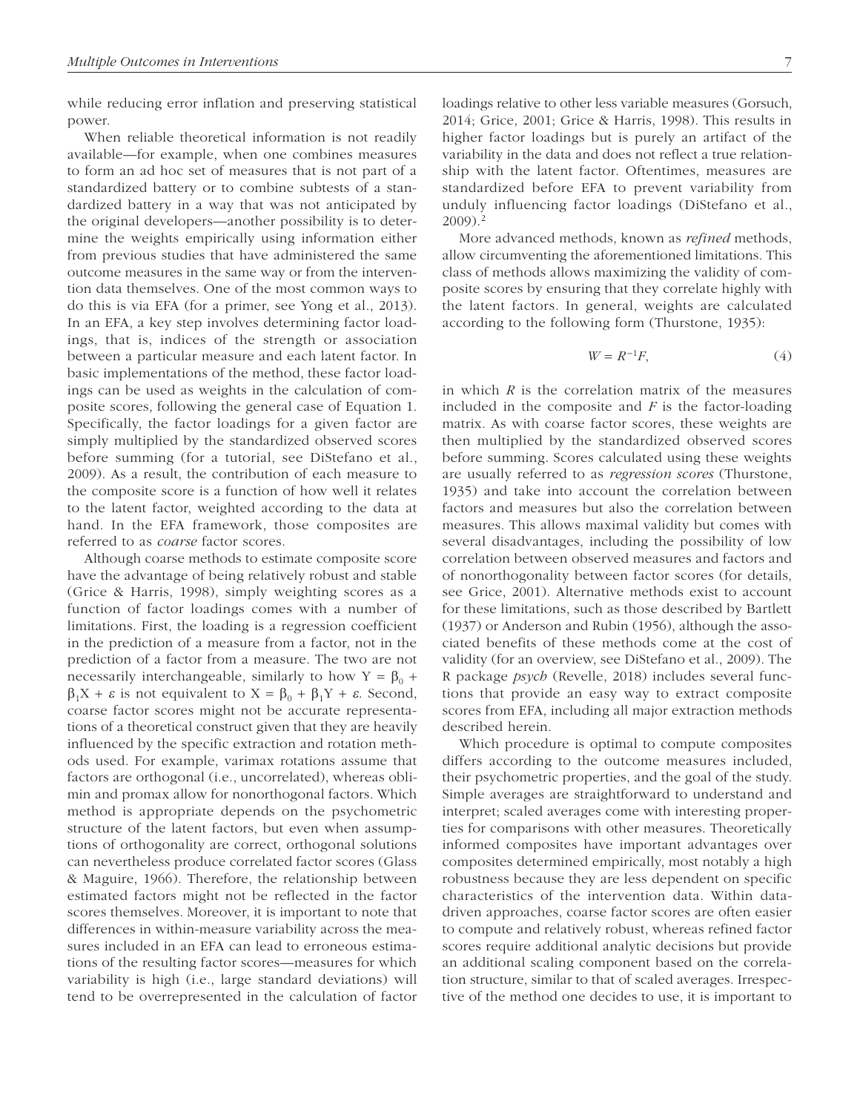while reducing error inflation and preserving statistical power.

When reliable theoretical information is not readily available—for example, when one combines measures to form an ad hoc set of measures that is not part of a standardized battery or to combine subtests of a standardized battery in a way that was not anticipated by the original developers—another possibility is to determine the weights empirically using information either from previous studies that have administered the same outcome measures in the same way or from the intervention data themselves. One of the most common ways to do this is via EFA (for a primer, see Yong et al., 2013). In an EFA, a key step involves determining factor loadings, that is, indices of the strength or association between a particular measure and each latent factor. In basic implementations of the method, these factor loadings can be used as weights in the calculation of composite scores, following the general case of Equation 1. Specifically, the factor loadings for a given factor are simply multiplied by the standardized observed scores before summing (for a tutorial, see DiStefano et al., 2009). As a result, the contribution of each measure to the composite score is a function of how well it relates to the latent factor, weighted according to the data at hand. In the EFA framework, those composites are referred to as *coarse* factor scores.

Although coarse methods to estimate composite score have the advantage of being relatively robust and stable (Grice & Harris, 1998), simply weighting scores as a function of factor loadings comes with a number of limitations. First, the loading is a regression coefficient in the prediction of a measure from a factor, not in the prediction of a factor from a measure. The two are not necessarily interchangeable, similarly to how  $Y = \beta_0$  +  $\beta_1 X + \varepsilon$  is not equivalent to  $X = \beta_0 + \beta_1 Y + \varepsilon$ . Second, coarse factor scores might not be accurate representations of a theoretical construct given that they are heavily influenced by the specific extraction and rotation methods used. For example, varimax rotations assume that factors are orthogonal (i.e., uncorrelated), whereas oblimin and promax allow for nonorthogonal factors. Which method is appropriate depends on the psychometric structure of the latent factors, but even when assumptions of orthogonality are correct, orthogonal solutions can nevertheless produce correlated factor scores (Glass & Maguire, 1966). Therefore, the relationship between estimated factors might not be reflected in the factor scores themselves. Moreover, it is important to note that differences in within-measure variability across the measures included in an EFA can lead to erroneous estimations of the resulting factor scores—measures for which variability is high (i.e., large standard deviations) will tend to be overrepresented in the calculation of factor loadings relative to other less variable measures (Gorsuch, 2014; Grice, 2001; Grice & Harris, 1998). This results in higher factor loadings but is purely an artifact of the variability in the data and does not reflect a true relationship with the latent factor. Oftentimes, measures are standardized before EFA to prevent variability from unduly influencing factor loadings (DiStefano et al., 2009).2

More advanced methods, known as *refined* methods, allow circumventing the aforementioned limitations. This class of methods allows maximizing the validity of composite scores by ensuring that they correlate highly with the latent factors. In general, weights are calculated according to the following form (Thurstone, 1935):

$$
W = R^{-1}F,\tag{4}
$$

in which *R* is the correlation matrix of the measures included in the composite and *F* is the factor-loading matrix. As with coarse factor scores, these weights are then multiplied by the standardized observed scores before summing. Scores calculated using these weights are usually referred to as *regression scores* (Thurstone, 1935) and take into account the correlation between factors and measures but also the correlation between measures. This allows maximal validity but comes with several disadvantages, including the possibility of low correlation between observed measures and factors and of nonorthogonality between factor scores (for details, see Grice, 2001). Alternative methods exist to account for these limitations, such as those described by Bartlett (1937) or Anderson and Rubin (1956), although the associated benefits of these methods come at the cost of validity (for an overview, see DiStefano et al., 2009). The R package *psych* (Revelle, 2018) includes several functions that provide an easy way to extract composite scores from EFA, including all major extraction methods described herein.

Which procedure is optimal to compute composites differs according to the outcome measures included, their psychometric properties, and the goal of the study. Simple averages are straightforward to understand and interpret; scaled averages come with interesting properties for comparisons with other measures. Theoretically informed composites have important advantages over composites determined empirically, most notably a high robustness because they are less dependent on specific characteristics of the intervention data. Within datadriven approaches, coarse factor scores are often easier to compute and relatively robust, whereas refined factor scores require additional analytic decisions but provide an additional scaling component based on the correlation structure, similar to that of scaled averages. Irrespective of the method one decides to use, it is important to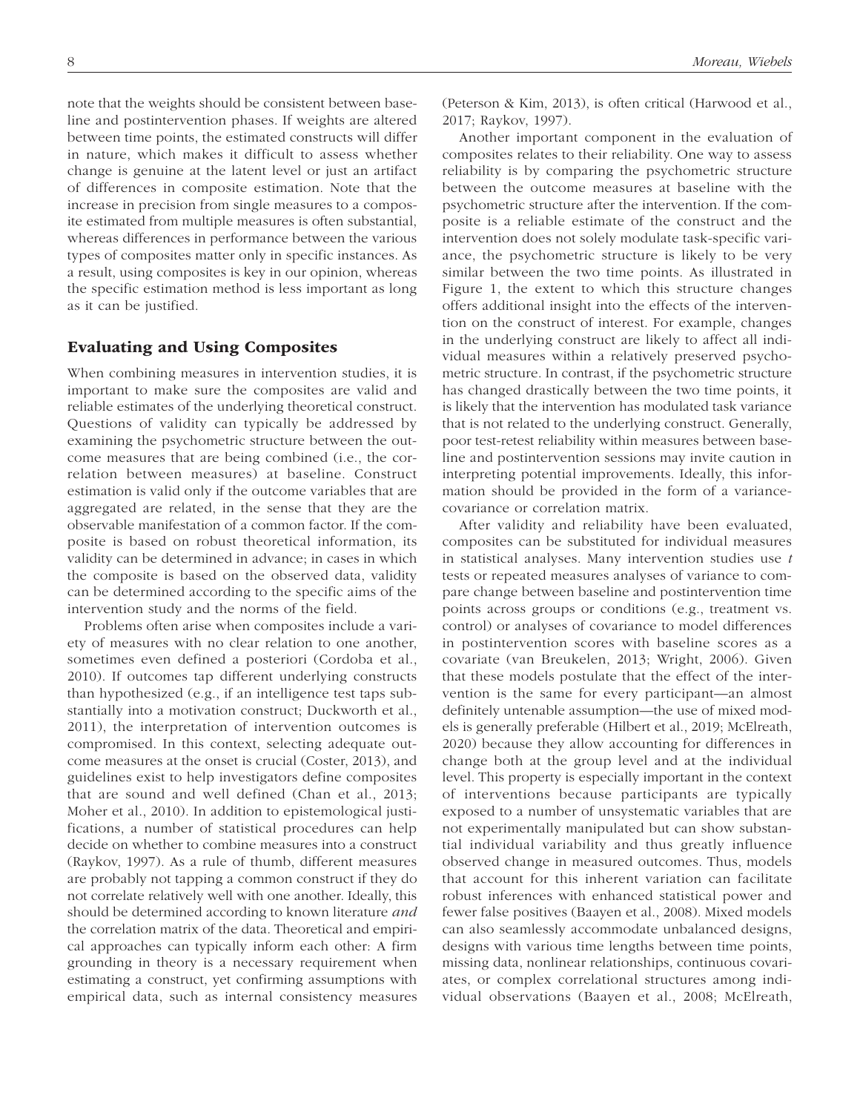note that the weights should be consistent between baseline and postintervention phases. If weights are altered between time points, the estimated constructs will differ in nature, which makes it difficult to assess whether change is genuine at the latent level or just an artifact of differences in composite estimation. Note that the increase in precision from single measures to a composite estimated from multiple measures is often substantial, whereas differences in performance between the various types of composites matter only in specific instances. As a result, using composites is key in our opinion, whereas the specific estimation method is less important as long as it can be justified.

#### Evaluating and Using Composites

When combining measures in intervention studies, it is important to make sure the composites are valid and reliable estimates of the underlying theoretical construct. Questions of validity can typically be addressed by examining the psychometric structure between the outcome measures that are being combined (i.e., the correlation between measures) at baseline. Construct estimation is valid only if the outcome variables that are aggregated are related, in the sense that they are the observable manifestation of a common factor. If the composite is based on robust theoretical information, its validity can be determined in advance; in cases in which the composite is based on the observed data, validity can be determined according to the specific aims of the intervention study and the norms of the field.

Problems often arise when composites include a variety of measures with no clear relation to one another, sometimes even defined a posteriori (Cordoba et al., 2010). If outcomes tap different underlying constructs than hypothesized (e.g., if an intelligence test taps substantially into a motivation construct; Duckworth et al., 2011), the interpretation of intervention outcomes is compromised. In this context, selecting adequate outcome measures at the onset is crucial (Coster, 2013), and guidelines exist to help investigators define composites that are sound and well defined (Chan et al., 2013; Moher et al., 2010). In addition to epistemological justifications, a number of statistical procedures can help decide on whether to combine measures into a construct (Raykov, 1997). As a rule of thumb, different measures are probably not tapping a common construct if they do not correlate relatively well with one another. Ideally, this should be determined according to known literature *and* the correlation matrix of the data. Theoretical and empirical approaches can typically inform each other: A firm grounding in theory is a necessary requirement when estimating a construct, yet confirming assumptions with empirical data, such as internal consistency measures

Another important component in the evaluation of composites relates to their reliability. One way to assess reliability is by comparing the psychometric structure between the outcome measures at baseline with the psychometric structure after the intervention. If the composite is a reliable estimate of the construct and the intervention does not solely modulate task-specific variance, the psychometric structure is likely to be very similar between the two time points. As illustrated in Figure 1, the extent to which this structure changes offers additional insight into the effects of the intervention on the construct of interest. For example, changes in the underlying construct are likely to affect all individual measures within a relatively preserved psychometric structure. In contrast, if the psychometric structure has changed drastically between the two time points, it is likely that the intervention has modulated task variance that is not related to the underlying construct. Generally, poor test-retest reliability within measures between baseline and postintervention sessions may invite caution in interpreting potential improvements. Ideally, this information should be provided in the form of a variancecovariance or correlation matrix.

After validity and reliability have been evaluated, composites can be substituted for individual measures in statistical analyses. Many intervention studies use *t* tests or repeated measures analyses of variance to compare change between baseline and postintervention time points across groups or conditions (e.g., treatment vs. control) or analyses of covariance to model differences in postintervention scores with baseline scores as a covariate (van Breukelen, 2013; Wright, 2006). Given that these models postulate that the effect of the intervention is the same for every participant—an almost definitely untenable assumption—the use of mixed models is generally preferable (Hilbert et al., 2019; McElreath, 2020) because they allow accounting for differences in change both at the group level and at the individual level. This property is especially important in the context of interventions because participants are typically exposed to a number of unsystematic variables that are not experimentally manipulated but can show substantial individual variability and thus greatly influence observed change in measured outcomes. Thus, models that account for this inherent variation can facilitate robust inferences with enhanced statistical power and fewer false positives (Baayen et al., 2008). Mixed models can also seamlessly accommodate unbalanced designs, designs with various time lengths between time points, missing data, nonlinear relationships, continuous covariates, or complex correlational structures among individual observations (Baayen et al., 2008; McElreath,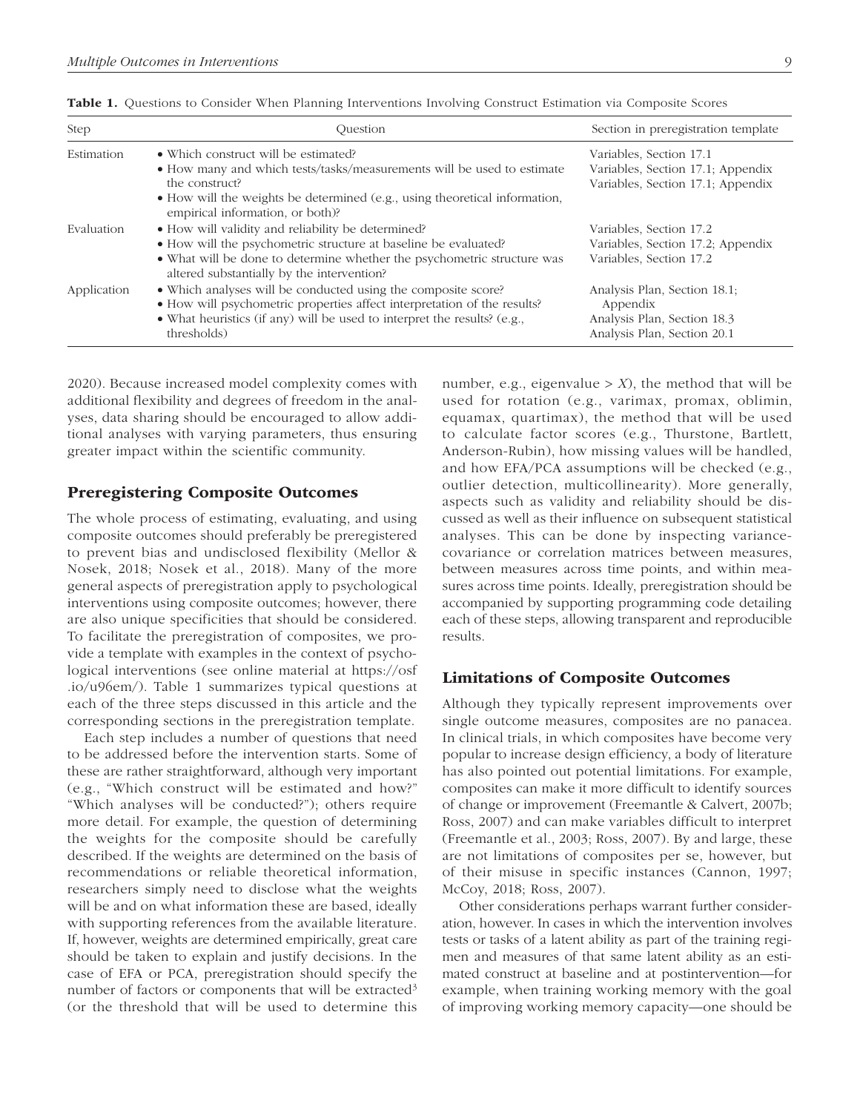| Step        | Ouestion                                                                                                                                  | Section in preregistration template      |
|-------------|-------------------------------------------------------------------------------------------------------------------------------------------|------------------------------------------|
| Estimation  | • Which construct will be estimated?                                                                                                      | Variables, Section 17.1                  |
|             | • How many and which tests/tasks/measurements will be used to estimate                                                                    | Variables, Section 17.1; Appendix        |
|             | the construct?                                                                                                                            | Variables, Section 17.1; Appendix        |
|             | $\bullet$ How will the weights be determined (e.g., using theoretical information,<br>empirical information, or both)?                    |                                          |
| Evaluation  | • How will validity and reliability be determined?                                                                                        | Variables, Section 17.2                  |
|             | • How will the psychometric structure at baseline be evaluated?                                                                           | Variables, Section 17.2; Appendix        |
|             | • What will be done to determine whether the psychometric structure was<br>altered substantially by the intervention?                     | Variables, Section 17.2                  |
| Application | • Which analyses will be conducted using the composite score?<br>• How will psychometric properties affect interpretation of the results? | Analysis Plan, Section 18.1;<br>Appendix |
|             | • What heuristics (if any) will be used to interpret the results? (e.g.,                                                                  | Analysis Plan, Section 18.3              |
|             | thresholds)                                                                                                                               | Analysis Plan, Section 20.1              |

Table 1. Questions to Consider When Planning Interventions Involving Construct Estimation via Composite Scores

2020). Because increased model complexity comes with additional flexibility and degrees of freedom in the analyses, data sharing should be encouraged to allow additional analyses with varying parameters, thus ensuring greater impact within the scientific community.

## Preregistering Composite Outcomes

The whole process of estimating, evaluating, and using composite outcomes should preferably be preregistered to prevent bias and undisclosed flexibility (Mellor & Nosek, 2018; Nosek et al., 2018). Many of the more general aspects of preregistration apply to psychological interventions using composite outcomes; however, there are also unique specificities that should be considered. To facilitate the preregistration of composites, we provide a template with examples in the context of psychological interventions (see online material at [https://osf](https://osf.io/u96em/) [.io/u96em/](https://osf.io/u96em/)). Table 1 summarizes typical questions at each of the three steps discussed in this article and the corresponding sections in the preregistration template.

Each step includes a number of questions that need to be addressed before the intervention starts. Some of these are rather straightforward, although very important (e.g., "Which construct will be estimated and how?" "Which analyses will be conducted?"); others require more detail. For example, the question of determining the weights for the composite should be carefully described. If the weights are determined on the basis of recommendations or reliable theoretical information, researchers simply need to disclose what the weights will be and on what information these are based, ideally with supporting references from the available literature. If, however, weights are determined empirically, great care should be taken to explain and justify decisions. In the case of EFA or PCA, preregistration should specify the number of factors or components that will be extracted<sup>3</sup> (or the threshold that will be used to determine this number, e.g., eigenvalue  $> X$ ), the method that will be used for rotation (e.g., varimax, promax, oblimin, equamax, quartimax), the method that will be used to calculate factor scores (e.g., Thurstone, Bartlett, Anderson-Rubin), how missing values will be handled, and how EFA/PCA assumptions will be checked (e.g., outlier detection, multicollinearity). More generally, aspects such as validity and reliability should be discussed as well as their influence on subsequent statistical analyses. This can be done by inspecting variancecovariance or correlation matrices between measures, between measures across time points, and within measures across time points. Ideally, preregistration should be accompanied by supporting programming code detailing each of these steps, allowing transparent and reproducible results.

## Limitations of Composite Outcomes

Although they typically represent improvements over single outcome measures, composites are no panacea. In clinical trials, in which composites have become very popular to increase design efficiency, a body of literature has also pointed out potential limitations. For example, composites can make it more difficult to identify sources of change or improvement (Freemantle & Calvert, 2007b; Ross, 2007) and can make variables difficult to interpret (Freemantle et al., 2003; Ross, 2007). By and large, these are not limitations of composites per se, however, but of their misuse in specific instances (Cannon, 1997; McCoy, 2018; Ross, 2007).

Other considerations perhaps warrant further consideration, however. In cases in which the intervention involves tests or tasks of a latent ability as part of the training regimen and measures of that same latent ability as an estimated construct at baseline and at postintervention—for example, when training working memory with the goal of improving working memory capacity—one should be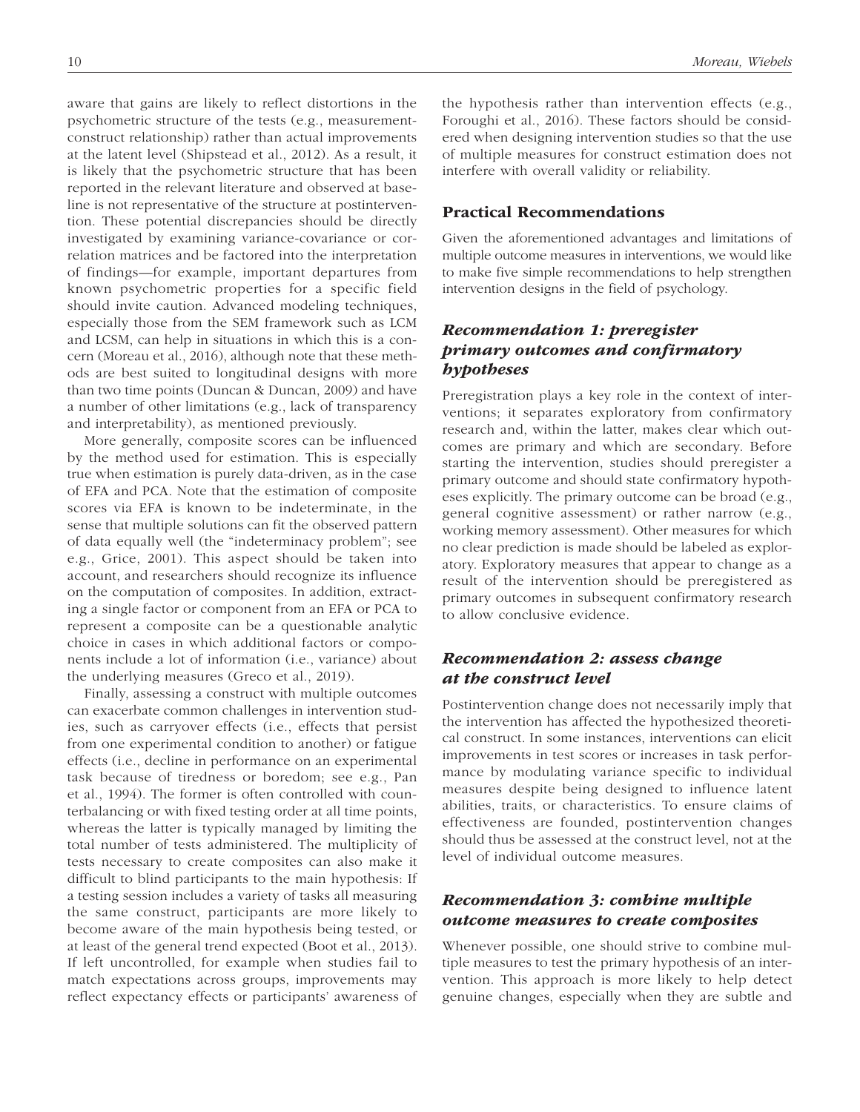aware that gains are likely to reflect distortions in the psychometric structure of the tests (e.g., measurementconstruct relationship) rather than actual improvements at the latent level (Shipstead et al., 2012). As a result, it is likely that the psychometric structure that has been reported in the relevant literature and observed at baseline is not representative of the structure at postintervention. These potential discrepancies should be directly investigated by examining variance-covariance or correlation matrices and be factored into the interpretation of findings—for example, important departures from known psychometric properties for a specific field should invite caution. Advanced modeling techniques, especially those from the SEM framework such as LCM and LCSM, can help in situations in which this is a concern (Moreau et al., 2016), although note that these methods are best suited to longitudinal designs with more than two time points (Duncan & Duncan, 2009) and have a number of other limitations (e.g., lack of transparency and interpretability), as mentioned previously.

More generally, composite scores can be influenced by the method used for estimation. This is especially true when estimation is purely data-driven, as in the case of EFA and PCA. Note that the estimation of composite scores via EFA is known to be indeterminate, in the sense that multiple solutions can fit the observed pattern of data equally well (the "indeterminacy problem"; see e.g., Grice, 2001). This aspect should be taken into account, and researchers should recognize its influence on the computation of composites. In addition, extracting a single factor or component from an EFA or PCA to represent a composite can be a questionable analytic choice in cases in which additional factors or components include a lot of information (i.e., variance) about the underlying measures (Greco et al., 2019).

Finally, assessing a construct with multiple outcomes can exacerbate common challenges in intervention studies, such as carryover effects (i.e., effects that persist from one experimental condition to another) or fatigue effects (i.e., decline in performance on an experimental task because of tiredness or boredom; see e.g., Pan et al., 1994). The former is often controlled with counterbalancing or with fixed testing order at all time points, whereas the latter is typically managed by limiting the total number of tests administered. The multiplicity of tests necessary to create composites can also make it difficult to blind participants to the main hypothesis: If a testing session includes a variety of tasks all measuring the same construct, participants are more likely to become aware of the main hypothesis being tested, or at least of the general trend expected (Boot et al., 2013). If left uncontrolled, for example when studies fail to match expectations across groups, improvements may reflect expectancy effects or participants' awareness of the hypothesis rather than intervention effects (e.g., Foroughi et al., 2016). These factors should be considered when designing intervention studies so that the use of multiple measures for construct estimation does not interfere with overall validity or reliability.

### Practical Recommendations

Given the aforementioned advantages and limitations of multiple outcome measures in interventions, we would like to make five simple recommendations to help strengthen intervention designs in the field of psychology.

## *Recommendation 1: preregister primary outcomes and confirmatory hypotheses*

Preregistration plays a key role in the context of interventions; it separates exploratory from confirmatory research and, within the latter, makes clear which outcomes are primary and which are secondary. Before starting the intervention, studies should preregister a primary outcome and should state confirmatory hypotheses explicitly. The primary outcome can be broad (e.g., general cognitive assessment) or rather narrow (e.g., working memory assessment). Other measures for which no clear prediction is made should be labeled as exploratory. Exploratory measures that appear to change as a result of the intervention should be preregistered as primary outcomes in subsequent confirmatory research to allow conclusive evidence.

## *Recommendation 2: assess change at the construct level*

Postintervention change does not necessarily imply that the intervention has affected the hypothesized theoretical construct. In some instances, interventions can elicit improvements in test scores or increases in task performance by modulating variance specific to individual measures despite being designed to influence latent abilities, traits, or characteristics. To ensure claims of effectiveness are founded, postintervention changes should thus be assessed at the construct level, not at the level of individual outcome measures.

## *Recommendation 3: combine multiple outcome measures to create composites*

Whenever possible, one should strive to combine multiple measures to test the primary hypothesis of an intervention. This approach is more likely to help detect genuine changes, especially when they are subtle and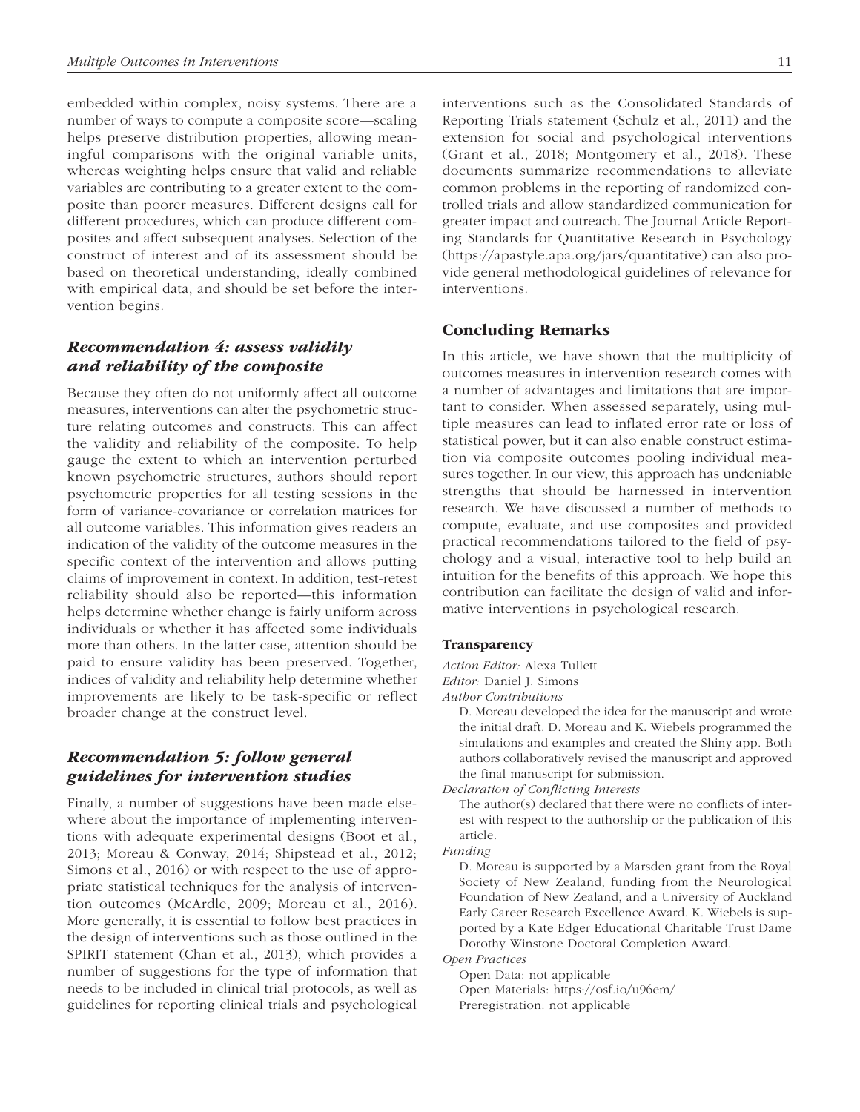embedded within complex, noisy systems. There are a number of ways to compute a composite score—scaling helps preserve distribution properties, allowing meaningful comparisons with the original variable units, whereas weighting helps ensure that valid and reliable variables are contributing to a greater extent to the composite than poorer measures. Different designs call for different procedures, which can produce different composites and affect subsequent analyses. Selection of the construct of interest and of its assessment should be based on theoretical understanding, ideally combined with empirical data, and should be set before the intervention begins.

## *Recommendation 4: assess validity and reliability of the composite*

Because they often do not uniformly affect all outcome measures, interventions can alter the psychometric structure relating outcomes and constructs. This can affect the validity and reliability of the composite. To help gauge the extent to which an intervention perturbed known psychometric structures, authors should report psychometric properties for all testing sessions in the form of variance-covariance or correlation matrices for all outcome variables. This information gives readers an indication of the validity of the outcome measures in the specific context of the intervention and allows putting claims of improvement in context. In addition, test-retest reliability should also be reported—this information helps determine whether change is fairly uniform across individuals or whether it has affected some individuals more than others. In the latter case, attention should be paid to ensure validity has been preserved. Together, indices of validity and reliability help determine whether improvements are likely to be task-specific or reflect broader change at the construct level.

## *Recommendation 5: follow general guidelines for intervention studies*

Finally, a number of suggestions have been made elsewhere about the importance of implementing interventions with adequate experimental designs (Boot et al., 2013; Moreau & Conway, 2014; Shipstead et al., 2012; Simons et al., 2016) or with respect to the use of appropriate statistical techniques for the analysis of intervention outcomes (McArdle, 2009; Moreau et al., 2016). More generally, it is essential to follow best practices in the design of interventions such as those outlined in the SPIRIT statement (Chan et al., 2013), which provides a number of suggestions for the type of information that needs to be included in clinical trial protocols, as well as guidelines for reporting clinical trials and psychological

interventions such as the Consolidated Standards of Reporting Trials statement (Schulz et al., 2011) and the extension for social and psychological interventions (Grant et al., 2018; Montgomery et al., 2018). These documents summarize recommendations to alleviate common problems in the reporting of randomized controlled trials and allow standardized communication for greater impact and outreach. The Journal Article Reporting Standards for Quantitative Research in Psychology (<https://apastyle.apa.org/jars/quantitative>) can also provide general methodological guidelines of relevance for interventions.

## Concluding Remarks

In this article, we have shown that the multiplicity of outcomes measures in intervention research comes with a number of advantages and limitations that are important to consider. When assessed separately, using multiple measures can lead to inflated error rate or loss of statistical power, but it can also enable construct estimation via composite outcomes pooling individual measures together. In our view, this approach has undeniable strengths that should be harnessed in intervention research. We have discussed a number of methods to compute, evaluate, and use composites and provided practical recommendations tailored to the field of psychology and a visual, interactive tool to help build an intuition for the benefits of this approach. We hope this contribution can facilitate the design of valid and informative interventions in psychological research.

#### Transparency

*Action Editor:* Alexa Tullett *Editor:* Daniel J. Simons *Author Contributions*

> D. Moreau developed the idea for the manuscript and wrote the initial draft. D. Moreau and K. Wiebels programmed the simulations and examples and created the Shiny app. Both authors collaboratively revised the manuscript and approved the final manuscript for submission.

*Declaration of Conflicting Interests*

The author(s) declared that there were no conflicts of interest with respect to the authorship or the publication of this article.

#### *Funding*

D. Moreau is supported by a Marsden grant from the Royal Society of New Zealand, funding from the Neurological Foundation of New Zealand, and a University of Auckland Early Career Research Excellence Award. K. Wiebels is supported by a Kate Edger Educational Charitable Trust Dame Dorothy Winstone Doctoral Completion Award.

*Open Practices*

Open Data: not applicable Open Materials: https://osf.io/u96em/ Preregistration: not applicable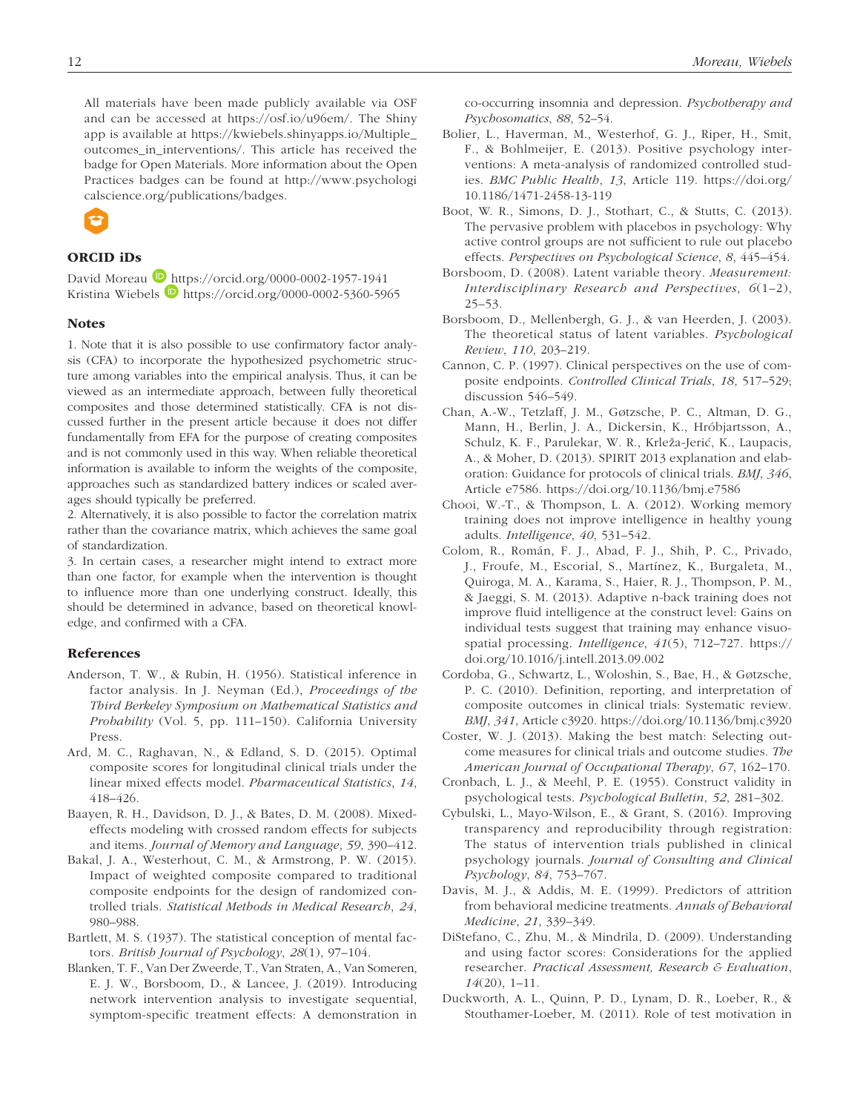All materials have been made publicly available via OSF and can be accessed at [https://osf.io/u96em/.](https://osf.io/u96em/) The Shiny app is available at [https://kwiebels.shinyapps.io/Multiple\\_](https://kwiebels.shinyapps.io/Multiple_outcomes_in_interventions/) [outcomes\\_in\\_interventions/.](https://kwiebels.shinyapps.io/Multiple_outcomes_in_interventions/) This article has received the badge for Open Materials. More information about the Open Practices badges can be found at [http://www.psychologi](http://www.psychologicalscience.org/publications/badges) [calscience.org/publications/badges](http://www.psychologicalscience.org/publications/badges).



## ORCID iDs

David Moreau D <https://orcid.org/0000-0002-1957-1941> Kristina Wiebels <https://orcid.org/0000-0002-5360-5965>

#### **Notes**

1. Note that it is also possible to use confirmatory factor analysis (CFA) to incorporate the hypothesized psychometric structure among variables into the empirical analysis. Thus, it can be viewed as an intermediate approach, between fully theoretical composites and those determined statistically. CFA is not discussed further in the present article because it does not differ fundamentally from EFA for the purpose of creating composites and is not commonly used in this way. When reliable theoretical information is available to inform the weights of the composite, approaches such as standardized battery indices or scaled averages should typically be preferred.

2. Alternatively, it is also possible to factor the correlation matrix rather than the covariance matrix, which achieves the same goal of standardization.

3. In certain cases, a researcher might intend to extract more than one factor, for example when the intervention is thought to influence more than one underlying construct. Ideally, this should be determined in advance, based on theoretical knowledge, and confirmed with a CFA.

#### References

- Anderson, T. W., & Rubin, H. (1956). Statistical inference in factor analysis. In J. Neyman (Ed.), *Proceedings of the Third Berkeley Symposium on Mathematical Statistics and Probability* (Vol. 5, pp. 111–150). California University Press.
- Ard, M. C., Raghavan, N., & Edland, S. D. (2015). Optimal composite scores for longitudinal clinical trials under the linear mixed effects model. *Pharmaceutical Statistics*, *14*, 418–426.
- Baayen, R. H., Davidson, D. J., & Bates, D. M. (2008). Mixedeffects modeling with crossed random effects for subjects and items. *Journal of Memory and Language*, *59*, 390–412.
- Bakal, J. A., Westerhout, C. M., & Armstrong, P. W. (2015). Impact of weighted composite compared to traditional composite endpoints for the design of randomized controlled trials. *Statistical Methods in Medical Research*, *24*, 980–988.
- Bartlett, M. S. (1937). The statistical conception of mental factors. *British Journal of Psychology*, *28*(1), 97–104.
- Blanken, T. F., Van Der Zweerde, T., Van Straten, A., Van Someren, E. J. W., Borsboom, D., & Lancee, J. (2019). Introducing network intervention analysis to investigate sequential, symptom-specific treatment effects: A demonstration in

co-occurring insomnia and depression. *Psychotherapy and Psychosomatics*, *88*, 52–54.

- Bolier, L., Haverman, M., Westerhof, G. J., Riper, H., Smit, F., & Bohlmeijer, E. (2013). Positive psychology interventions: A meta-analysis of randomized controlled studies. *BMC Public Health*, *13*, Article 119. [https://doi.org/](https://doi.org/10.1186/1471-2458-13-119) [10.1186/1471-2458-13-119](https://doi.org/10.1186/1471-2458-13-119)
- Boot, W. R., Simons, D. J., Stothart, C., & Stutts, C. (2013). The pervasive problem with placebos in psychology: Why active control groups are not sufficient to rule out placebo effects. *Perspectives on Psychological Science*, *8*, 445–454.
- Borsboom, D. (2008). Latent variable theory. *Measurement: Interdisciplinary Research and Perspectives*, *6*(1–2), 25–53.
- Borsboom, D., Mellenbergh, G. J., & van Heerden, J. (2003). The theoretical status of latent variables. *Psychological Review*, *110*, 203–219.
- Cannon, C. P. (1997). Clinical perspectives on the use of composite endpoints. *Controlled Clinical Trials*, *18*, 517–529; discussion 546–549.
- Chan, A.-W., Tetzlaff, J. M., Gøtzsche, P. C., Altman, D. G., Mann, H., Berlin, J. A., Dickersin, K., Hróbjartsson, A., Schulz, K. F., Parulekar, W. R., Krleža-Jerić, K., Laupacis, A., & Moher, D. (2013). SPIRIT 2013 explanation and elaboration: Guidance for protocols of clinical trials. *BMJ*, *346*, Article e7586.<https://doi.org/10.1136/bmj.e7586>
- Chooi, W.-T., & Thompson, L. A. (2012). Working memory training does not improve intelligence in healthy young adults. *Intelligence*, *40*, 531–542.
- Colom, R., Román, F. J., Abad, F. J., Shih, P. C., Privado, J., Froufe, M., Escorial, S., Martínez, K., Burgaleta, M., Quiroga, M. A., Karama, S., Haier, R. J., Thompson, P. M., & Jaeggi, S. M. (2013). Adaptive n-back training does not improve fluid intelligence at the construct level: Gains on individual tests suggest that training may enhance visuospatial processing. *Intelligence*, *41*(5), 712–727. [https://](https://doi.org/10.1016/j.intell.2013.09.002) [doi.org/10.1016/j.intell.2013.09.002](https://doi.org/10.1016/j.intell.2013.09.002)
- Cordoba, G., Schwartz, L., Woloshin, S., Bae, H., & Gøtzsche, P. C. (2010). Definition, reporting, and interpretation of composite outcomes in clinical trials: Systematic review. *BMJ*, *341*, Article c3920.<https://doi.org/10.1136/bmj.c3920>
- Coster, W. J. (2013). Making the best match: Selecting outcome measures for clinical trials and outcome studies. *The American Journal of Occupational Therapy*, *67*, 162–170.
- Cronbach, L. J., & Meehl, P. E. (1955). Construct validity in psychological tests. *Psychological Bulletin*, *52*, 281–302.
- Cybulski, L., Mayo-Wilson, E., & Grant, S. (2016). Improving transparency and reproducibility through registration: The status of intervention trials published in clinical psychology journals. *Journal of Consulting and Clinical Psychology*, *84*, 753–767.
- Davis, M. J., & Addis, M. E. (1999). Predictors of attrition from behavioral medicine treatments. *Annals of Behavioral Medicine*, *21*, 339–349.
- DiStefano, C., Zhu, M., & Mindrila, D. (2009). Understanding and using factor scores: Considerations for the applied researcher. *Practical Assessment, Research & Evaluation*, *14*(20), 1–11.
- Duckworth, A. L., Quinn, P. D., Lynam, D. R., Loeber, R., & Stouthamer-Loeber, M. (2011). Role of test motivation in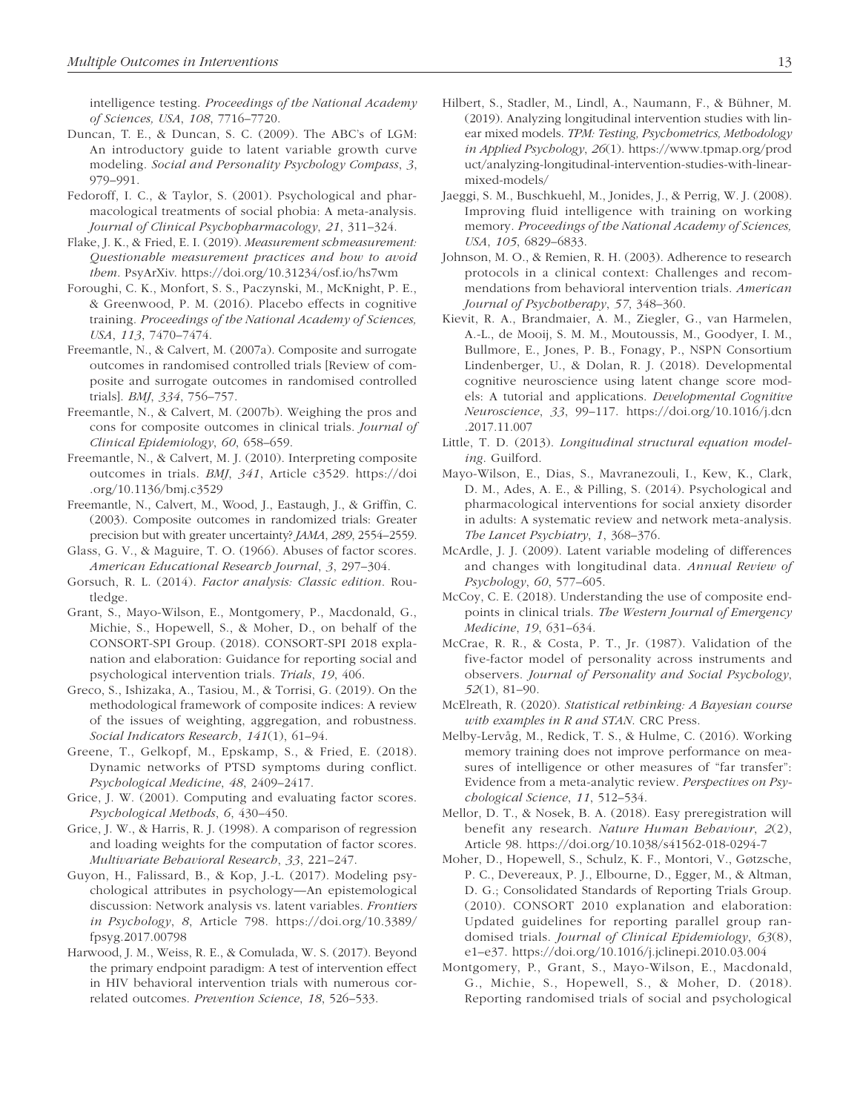intelligence testing. *Proceedings of the National Academy of Sciences, USA*, *108*, 7716–7720.

- Duncan, T. E., & Duncan, S. C. (2009). The ABC's of LGM: An introductory guide to latent variable growth curve modeling. *Social and Personality Psychology Compass*, *3*, 979–991.
- Fedoroff, I. C., & Taylor, S. (2001). Psychological and pharmacological treatments of social phobia: A meta-analysis. *Journal of Clinical Psychopharmacology*, *21*, 311–324.
- Flake, J. K., & Fried, E. I. (2019). *Measurement schmeasurement: Questionable measurement practices and how to avoid them*. PsyArXiv. <https://doi.org/10.31234/osf.io/hs7wm>
- Foroughi, C. K., Monfort, S. S., Paczynski, M., McKnight, P. E., & Greenwood, P. M. (2016). Placebo effects in cognitive training. *Proceedings of the National Academy of Sciences, USA*, *113*, 7470–7474.
- Freemantle, N., & Calvert, M. (2007a). Composite and surrogate outcomes in randomised controlled trials [Review of composite and surrogate outcomes in randomised controlled trials]. *BMJ*, *334*, 756–757.
- Freemantle, N., & Calvert, M. (2007b). Weighing the pros and cons for composite outcomes in clinical trials. *Journal of Clinical Epidemiology*, *60*, 658–659.
- Freemantle, N., & Calvert, M. J. (2010). Interpreting composite outcomes in trials. *BMJ*, *341*, Article c3529. [https://doi](https://doi.org/10.1136/bmj.c3529) [.org/10.1136/bmj.c3529](https://doi.org/10.1136/bmj.c3529)
- Freemantle, N., Calvert, M., Wood, J., Eastaugh, J., & Griffin, C. (2003). Composite outcomes in randomized trials: Greater precision but with greater uncertainty? *JAMA*, *289*, 2554–2559.
- Glass, G. V., & Maguire, T. O. (1966). Abuses of factor scores. *American Educational Research Journal*, *3*, 297–304.
- Gorsuch, R. L. (2014). *Factor analysis: Classic edition*. Routledge.
- Grant, S., Mayo-Wilson, E., Montgomery, P., Macdonald, G., Michie, S., Hopewell, S., & Moher, D., on behalf of the CONSORT-SPI Group. (2018). CONSORT-SPI 2018 explanation and elaboration: Guidance for reporting social and psychological intervention trials. *Trials*, *19*, 406.
- Greco, S., Ishizaka, A., Tasiou, M., & Torrisi, G. (2019). On the methodological framework of composite indices: A review of the issues of weighting, aggregation, and robustness. *Social Indicators Research*, *141*(1), 61–94.
- Greene, T., Gelkopf, M., Epskamp, S., & Fried, E. (2018). Dynamic networks of PTSD symptoms during conflict. *Psychological Medicine*, *48*, 2409–2417.
- Grice, J. W. (2001). Computing and evaluating factor scores. *Psychological Methods*, *6*, 430–450.
- Grice, J. W., & Harris, R. J. (1998). A comparison of regression and loading weights for the computation of factor scores. *Multivariate Behavioral Research*, *33*, 221–247.
- Guyon, H., Falissard, B., & Kop, J.-L. (2017). Modeling psychological attributes in psychology—An epistemological discussion: Network analysis vs. latent variables. *Frontiers in Psychology*, *8*, Article 798. [https://doi.org/10.3389/](https://doi.org/10.3389/fpsyg.2017.00798) [fpsyg.2017.00798](https://doi.org/10.3389/fpsyg.2017.00798)
- Harwood, J. M., Weiss, R. E., & Comulada, W. S. (2017). Beyond the primary endpoint paradigm: A test of intervention effect in HIV behavioral intervention trials with numerous correlated outcomes. *Prevention Science*, *18*, 526–533.
- Hilbert, S., Stadler, M., Lindl, A., Naumann, F., & Bühner, M. (2019). Analyzing longitudinal intervention studies with linear mixed models. *TPM: Testing, Psychometrics, Methodology in Applied Psychology*, *26*(1). [https://www.tpmap.org/prod](https://www.tpmap.org/product/analyzing-longitudinal-intervention-studies-with-linear-mixed-models/) [uct/analyzing-longitudinal-intervention-studies-with-linear](https://www.tpmap.org/product/analyzing-longitudinal-intervention-studies-with-linear-mixed-models/)[mixed-models/](https://www.tpmap.org/product/analyzing-longitudinal-intervention-studies-with-linear-mixed-models/)
- Jaeggi, S. M., Buschkuehl, M., Jonides, J., & Perrig, W. J. (2008). Improving fluid intelligence with training on working memory. *Proceedings of the National Academy of Sciences, USA*, *105*, 6829–6833.
- Johnson, M. O., & Remien, R. H. (2003). Adherence to research protocols in a clinical context: Challenges and recommendations from behavioral intervention trials. *American Journal of Psychotherapy*, *57*, 348–360.
- Kievit, R. A., Brandmaier, A. M., Ziegler, G., van Harmelen, A.-L., de Mooij, S. M. M., Moutoussis, M., Goodyer, I. M., Bullmore, E., Jones, P. B., Fonagy, P., NSPN Consortium Lindenberger, U., & Dolan, R. J. (2018). Developmental cognitive neuroscience using latent change score models: A tutorial and applications. *Developmental Cognitive Neuroscience*, *33*, 99–117. [https://doi.org/10.1016/j.dcn](https://doi.org/10.1016/j.dcn.2017.11.007) [.2017.11.007](https://doi.org/10.1016/j.dcn.2017.11.007)
- Little, T. D. (2013). *Longitudinal structural equation modeling*. Guilford.
- Mayo-Wilson, E., Dias, S., Mavranezouli, I., Kew, K., Clark, D. M., Ades, A. E., & Pilling, S. (2014). Psychological and pharmacological interventions for social anxiety disorder in adults: A systematic review and network meta-analysis. *The Lancet Psychiatry*, *1*, 368–376.
- McArdle, J. J. (2009). Latent variable modeling of differences and changes with longitudinal data. *Annual Review of Psychology*, *60*, 577–605.
- McCoy, C. E. (2018). Understanding the use of composite endpoints in clinical trials. *The Western Journal of Emergency Medicine*, *19*, 631–634.
- McCrae, R. R., & Costa, P. T., Jr. (1987). Validation of the five-factor model of personality across instruments and observers. *Journal of Personality and Social Psychology*, *52*(1), 81–90.
- McElreath, R. (2020). *Statistical rethinking: A Bayesian course with examples in R and STAN*. CRC Press.
- Melby-Lervåg, M., Redick, T. S., & Hulme, C. (2016). Working memory training does not improve performance on measures of intelligence or other measures of "far transfer": Evidence from a meta-analytic review. *Perspectives on Psychological Science*, *11*, 512–534.
- Mellor, D. T., & Nosek, B. A. (2018). Easy preregistration will benefit any research. *Nature Human Behaviour*, *2*(2), Article 98. <https://doi.org/10.1038/s41562-018-0294-7>
- Moher, D., Hopewell, S., Schulz, K. F., Montori, V., Gøtzsche, P. C., Devereaux, P. J., Elbourne, D., Egger, M., & Altman, D. G.; Consolidated Standards of Reporting Trials Group. (2010). CONSORT 2010 explanation and elaboration: Updated guidelines for reporting parallel group randomised trials. *Journal of Clinical Epidemiology*, *63*(8), e1–e37. <https://doi.org/10.1016/j.jclinepi.2010.03.004>
- Montgomery, P., Grant, S., Mayo-Wilson, E., Macdonald, G., Michie, S., Hopewell, S., & Moher, D. (2018). Reporting randomised trials of social and psychological